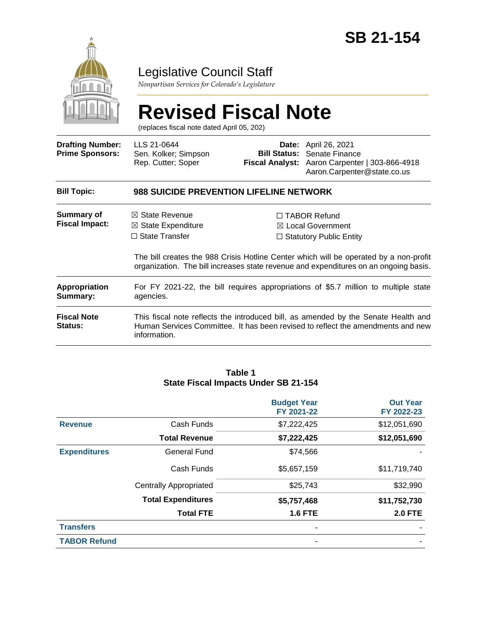

# Legislative Council Staff

*Nonpartisan Services for Colorado's Legislature*

# **Revised Fiscal Note**

(replaces fiscal note dated April 05, 202)

| <b>Drafting Number:</b><br><b>Prime Sponsors:</b> | LLS 21-0644<br>Sen. Kolker; Simpson<br>Rep. Cutter; Soper                                                                                                                             |  | <b>Date:</b> April 26, 2021<br><b>Bill Status:</b> Senate Finance<br>Fiscal Analyst: Aaron Carpenter   303-866-4918<br>Aaron.Carpenter@state.co.us                                                                                                                     |  |  |
|---------------------------------------------------|---------------------------------------------------------------------------------------------------------------------------------------------------------------------------------------|--|------------------------------------------------------------------------------------------------------------------------------------------------------------------------------------------------------------------------------------------------------------------------|--|--|
| <b>Bill Topic:</b>                                | 988 SUICIDE PREVENTION LIFELINE NETWORK                                                                                                                                               |  |                                                                                                                                                                                                                                                                        |  |  |
| Summary of<br><b>Fiscal Impact:</b>               | $\boxtimes$ State Revenue<br>$\boxtimes$ State Expenditure<br>$\Box$ State Transfer                                                                                                   |  | $\Box$ TABOR Refund<br>$\boxtimes$ Local Government<br>$\Box$ Statutory Public Entity<br>The bill creates the 988 Crisis Hotline Center which will be operated by a non-profit<br>organization. The bill increases state revenue and expenditures on an ongoing basis. |  |  |
| <b>Appropriation</b><br>Summary:                  | For FY 2021-22, the bill requires appropriations of \$5.7 million to multiple state<br>agencies.                                                                                      |  |                                                                                                                                                                                                                                                                        |  |  |
| <b>Fiscal Note</b><br><b>Status:</b>              | This fiscal note reflects the introduced bill, as amended by the Senate Health and<br>Human Services Committee. It has been revised to reflect the amendments and new<br>information. |  |                                                                                                                                                                                                                                                                        |  |  |

#### **Table 1 State Fiscal Impacts Under SB 21-154**

|                     |                               | <b>Budget Year</b><br>FY 2021-22 | <b>Out Year</b><br>FY 2022-23 |
|---------------------|-------------------------------|----------------------------------|-------------------------------|
| <b>Revenue</b>      | Cash Funds                    | \$7,222,425                      | \$12,051,690                  |
|                     | <b>Total Revenue</b>          | \$7,222,425                      | \$12,051,690                  |
| <b>Expenditures</b> | <b>General Fund</b>           | \$74,566                         |                               |
|                     | Cash Funds                    | \$5,657,159                      | \$11,719,740                  |
|                     | <b>Centrally Appropriated</b> | \$25,743                         | \$32,990                      |
|                     | <b>Total Expenditures</b>     | \$5,757,468                      | \$11,752,730                  |
|                     | <b>Total FTE</b>              | <b>1.6 FTE</b>                   | <b>2.0 FTE</b>                |
| <b>Transfers</b>    |                               |                                  |                               |
| <b>TABOR Refund</b> |                               |                                  |                               |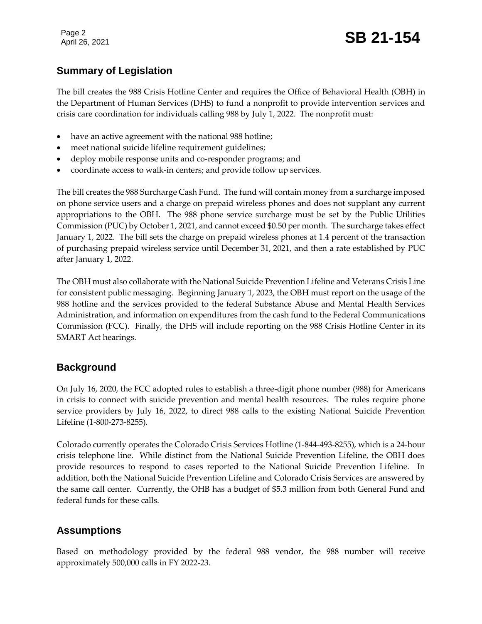Page 2

# Page 2<br>April 26, 2021 **SB 21-154**

# **Summary of Legislation**

The bill creates the 988 Crisis Hotline Center and requires the Office of Behavioral Health (OBH) in the Department of Human Services (DHS) to fund a nonprofit to provide intervention services and crisis care coordination for individuals calling 988 by July 1, 2022. The nonprofit must:

- have an active agreement with the national 988 hotline;
- meet national suicide lifeline requirement guidelines;
- deploy mobile response units and co-responder programs; and
- coordinate access to walk-in centers; and provide follow up services.

The bill creates the 988 Surcharge Cash Fund. The fund will contain money from a surcharge imposed on phone service users and a charge on prepaid wireless phones and does not supplant any current appropriations to the OBH. The 988 phone service surcharge must be set by the Public Utilities Commission (PUC) by October 1, 2021, and cannot exceed \$0.50 per month. The surcharge takes effect January 1, 2022. The bill sets the charge on prepaid wireless phones at 1.4 percent of the transaction of purchasing prepaid wireless service until December 31, 2021, and then a rate established by PUC after January 1, 2022.

The OBH must also collaborate with the National Suicide Prevention Lifeline and Veterans Crisis Line for consistent public messaging. Beginning January 1, 2023, the OBH must report on the usage of the 988 hotline and the services provided to the federal Substance Abuse and Mental Health Services Administration, and information on expenditures from the cash fund to the Federal Communications Commission (FCC). Finally, the DHS will include reporting on the 988 Crisis Hotline Center in its SMART Act hearings.

# **Background**

On July 16, 2020, the FCC adopted rules to establish a three-digit phone number (988) for Americans in crisis to connect with suicide prevention and mental health resources. The rules require phone service providers by July 16, 2022, to direct 988 calls to the existing National Suicide Prevention Lifeline (1-800-273-8255).

Colorado currently operates the Colorado Crisis Services Hotline (1-844-493-8255), which is a 24-hour crisis telephone line. While distinct from the National Suicide Prevention Lifeline, the OBH does provide resources to respond to cases reported to the National Suicide Prevention Lifeline. In addition, both the National Suicide Prevention Lifeline and Colorado Crisis Services are answered by the same call center. Currently, the OHB has a budget of \$5.3 million from both General Fund and federal funds for these calls.

# **Assumptions**

Based on methodology provided by the federal 988 vendor, the 988 number will receive approximately 500,000 calls in FY 2022-23.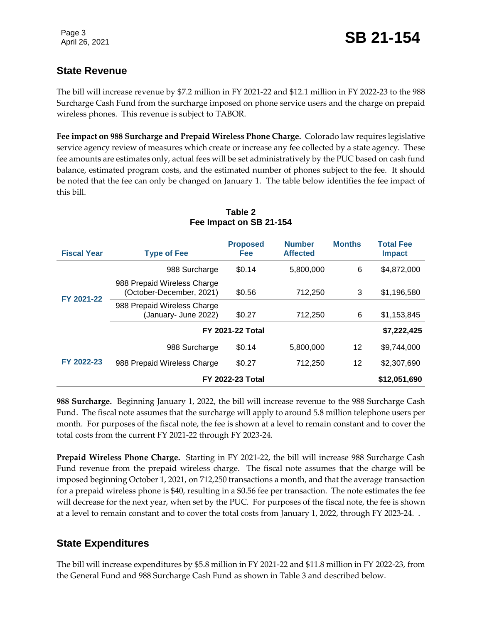# **State Revenue**

The bill will increase revenue by \$7.2 million in FY 2021-22 and \$12.1 million in FY 2022-23 to the 988 Surcharge Cash Fund from the surcharge imposed on phone service users and the charge on prepaid wireless phones. This revenue is subject to TABOR.

**Fee impact on 988 Surcharge and Prepaid Wireless Phone Charge.** Colorado law requires legislative service agency review of measures which create or increase any fee collected by a state agency. These fee amounts are estimates only, actual fees will be set administratively by the PUC based on cash fund balance, estimated program costs, and the estimated number of phones subject to the fee. It should be noted that the fee can only be changed on January 1. The table below identifies the fee impact of this bill.

| <b>Fiscal Year</b> | <b>Type of Fee</b>                                      | <b>Proposed</b><br><b>Fee</b> | <b>Number</b><br><b>Affected</b> | <b>Months</b> | <b>Total Fee</b><br><b>Impact</b> |
|--------------------|---------------------------------------------------------|-------------------------------|----------------------------------|---------------|-----------------------------------|
| FY 2021-22         | 988 Surcharge                                           | \$0.14                        | 5,800,000                        | 6             | \$4,872,000                       |
|                    | 988 Prepaid Wireless Charge<br>(October-December, 2021) | \$0.56                        | 712,250                          | 3             | \$1,196,580                       |
|                    | 988 Prepaid Wireless Charge<br>(January- June 2022)     | \$0.27                        | 712,250                          | 6             | \$1,153,845                       |
|                    | <b>FY 2021-22 Total</b>                                 | \$7,222,425                   |                                  |               |                                   |
| FY 2022-23         | 988 Surcharge                                           | \$0.14                        | 5,800,000                        | 12            | \$9,744,000                       |
|                    | 988 Prepaid Wireless Charge                             | \$0.27                        | 712,250                          | 12            | \$2,307,690                       |
|                    | <b>FY 2022-23 Total</b>                                 |                               |                                  | \$12,051,690  |                                   |

#### **Table 2 Fee Impact on SB 21-154**

**988 Surcharge.** Beginning January 1, 2022, the bill will increase revenue to the 988 Surcharge Cash Fund. The fiscal note assumes that the surcharge will apply to around 5.8 million telephone users per month. For purposes of the fiscal note, the fee is shown at a level to remain constant and to cover the total costs from the current FY 2021-22 through FY 2023-24.

**Prepaid Wireless Phone Charge.** Starting in FY 2021-22, the bill will increase 988 Surcharge Cash Fund revenue from the prepaid wireless charge. The fiscal note assumes that the charge will be imposed beginning October 1, 2021, on 712,250 transactions a month, and that the average transaction for a prepaid wireless phone is \$40, resulting in a \$0.56 fee per transaction. The note estimates the fee will decrease for the next year, when set by the PUC. For purposes of the fiscal note, the fee is shown at a level to remain constant and to cover the total costs from January 1, 2022, through FY 2023-24. .

# **State Expenditures**

The bill will increase expenditures by \$5.8 million in FY 2021-22 and \$11.8 million in FY 2022-23, from the General Fund and 988 Surcharge Cash Fund as shown in Table 3 and described below.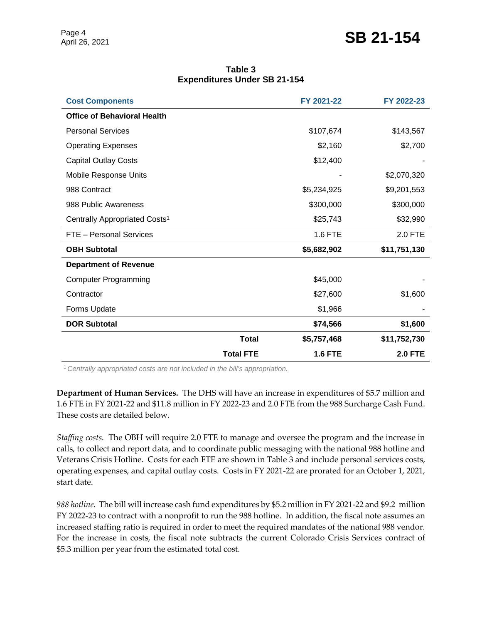# Page 4<br>April 26, 2021 **SB 21-154**

| <b>Cost Components</b>                    |                  | FY 2021-22     | FY 2022-23     |
|-------------------------------------------|------------------|----------------|----------------|
| <b>Office of Behavioral Health</b>        |                  |                |                |
| <b>Personal Services</b>                  |                  | \$107,674      | \$143,567      |
| <b>Operating Expenses</b>                 |                  | \$2,160        | \$2,700        |
| <b>Capital Outlay Costs</b>               |                  | \$12,400       |                |
| Mobile Response Units                     |                  |                | \$2,070,320    |
| 988 Contract                              |                  | \$5,234,925    | \$9,201,553    |
| 988 Public Awareness                      |                  | \$300,000      | \$300,000      |
| Centrally Appropriated Costs <sup>1</sup> |                  | \$25,743       | \$32,990       |
| FTE - Personal Services                   |                  | 1.6 FTE        | 2.0 FTE        |
| <b>OBH Subtotal</b>                       |                  | \$5,682,902    | \$11,751,130   |
| <b>Department of Revenue</b>              |                  |                |                |
| <b>Computer Programming</b>               |                  | \$45,000       |                |
| Contractor                                |                  | \$27,600       | \$1,600        |
| Forms Update                              |                  | \$1,966        |                |
| <b>DOR Subtotal</b>                       |                  | \$74,566       | \$1,600        |
|                                           | <b>Total</b>     | \$5,757,468    | \$11,752,730   |
|                                           | <b>Total FTE</b> | <b>1.6 FTE</b> | <b>2.0 FTE</b> |

#### **Table 3 Expenditures Under SB 21-154**

<sup>1</sup>*Centrally appropriated costs are not included in the bill's appropriation.*

**Department of Human Services.** The DHS will have an increase in expenditures of \$5.7 million and 1.6 FTE in FY 2021-22 and \$11.8 million in FY 2022-23 and 2.0 FTE from the 988 Surcharge Cash Fund. These costs are detailed below.

*Staffing costs.*The OBH will require 2.0 FTE to manage and oversee the program and the increase in calls, to collect and report data, and to coordinate public messaging with the national 988 hotline and Veterans Crisis Hotline. Costs for each FTE are shown in Table 3 and include personal services costs, operating expenses, and capital outlay costs. Costs in FY 2021-22 are prorated for an October 1, 2021, start date.

*988 hotline.* The bill will increase cash fund expenditures by \$5.2 million in FY 2021-22 and \$9.2 million FY 2022-23 to contract with a nonprofit to run the 988 hotline. In addition, the fiscal note assumes an increased staffing ratio is required in order to meet the required mandates of the national 988 vendor. For the increase in costs, the fiscal note subtracts the current Colorado Crisis Services contract of \$5.3 million per year from the estimated total cost.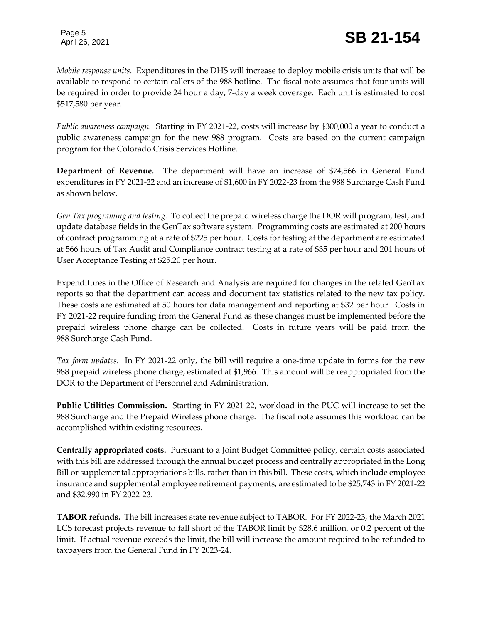*Mobile response units.*Expenditures in the DHS will increase to deploy mobile crisis units that will be available to respond to certain callers of the 988 hotline. The fiscal note assumes that four units will be required in order to provide 24 hour a day, 7-day a week coverage. Each unit is estimated to cost \$517,580 per year.

*Public awareness campaign.*Starting in FY 2021-22, costs will increase by \$300,000 a year to conduct a public awareness campaign for the new 988 program. Costs are based on the current campaign program for the Colorado Crisis Services Hotline.

**Department of Revenue.** The department will have an increase of \$74,566 in General Fund expenditures in FY 2021-22 and an increase of \$1,600 in FY 2022-23 from the 988 Surcharge Cash Fund as shown below.

*Gen Tax programing and testing.*To collect the prepaid wireless charge the DOR will program, test, and update database fields in the GenTax software system. Programming costs are estimated at 200 hours of contract programming at a rate of \$225 per hour. Costs for testing at the department are estimated at 566 hours of Tax Audit and Compliance contract testing at a rate of \$35 per hour and 204 hours of User Acceptance Testing at \$25.20 per hour.

Expenditures in the Office of Research and Analysis are required for changes in the related GenTax reports so that the department can access and document tax statistics related to the new tax policy. These costs are estimated at 50 hours for data management and reporting at \$32 per hour. Costs in FY 2021-22 require funding from the General Fund as these changes must be implemented before the prepaid wireless phone charge can be collected. Costs in future years will be paid from the 988 Surcharge Cash Fund.

*Tax form updates.* In FY 2021-22 only, the bill will require a one-time update in forms for the new 988 prepaid wireless phone charge, estimated at \$1,966. This amount will be reappropriated from the DOR to the Department of Personnel and Administration.

**Public Utilities Commission.** Starting in FY 2021-22, workload in the PUC will increase to set the 988 Surcharge and the Prepaid Wireless phone charge. The fiscal note assumes this workload can be accomplished within existing resources.

**Centrally appropriated costs.** Pursuant to a Joint Budget Committee policy, certain costs associated with this bill are addressed through the annual budget process and centrally appropriated in the Long Bill or supplemental appropriations bills, rather than in this bill. These costs, which include employee insurance and supplemental employee retirement payments, are estimated to be \$25,743 in FY 2021-22 and \$32,990 in FY 2022-23.

**TABOR refunds.** The bill increases state revenue subject to TABOR. For FY 2022-23, the March 2021 LCS forecast projects revenue to fall short of the TABOR limit by \$28.6 million, or 0.2 percent of the limit. If actual revenue exceeds the limit, the bill will increase the amount required to be refunded to taxpayers from the General Fund in FY 2023-24.